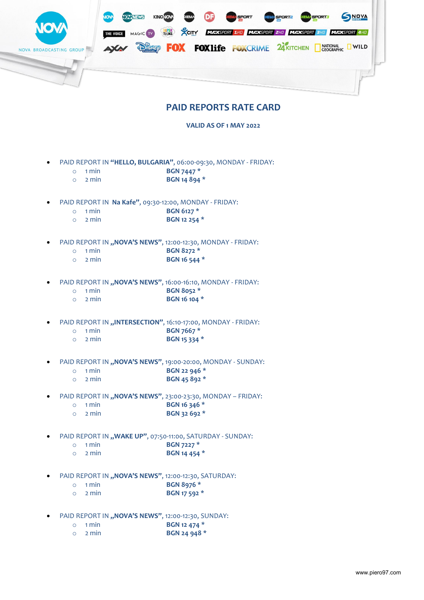

## **PAID REPORTS RATE CARD**

**VALID AS OF 1 MAY 2022**

- PAID REPORT IN **"HELLO, BULGARIA"**, 06:00-09:30, MONDAY FRIDAY:
	- o 1 min **BGN 7447 \***
	- o 2 min **BGN 14 894 \***
- PAID REPORT IN **Na Kafe"**, 09:30-12:00, MONDAY FRIDAY:
	- o 1 min **BGN 6127 \***
	- o 2 min **BGN 12 254 \***
- PAID REPORT IN "NOVA'S NEWS", 12:00-12:30, MONDAY FRIDAY:
	- o 1 min **BGN 8272 \***
	- o 2 min **BGN 16 544 \***
- PAID REPORT IN "NOVA'S NEWS", 16:00-16:10, MONDAY FRIDAY:
	- o 1 min **BGN 8052 \***
	- o 2 min **BGN 16 104 \***
- PAID REPORT IN "INTERSECTION", 16:10-17:00, MONDAY FRIDAY:
	- o 1 min **BGN 7667 \***
	- o 2 min **BGN 15 334 \***
- PAID REPORT IN "NOVA'S NEWS", 19:00-20:00, MONDAY SUNDAY:
	- o 1 min **BGN 22 946 \***
	- o 2 min **BGN 45 892 \***
- PAID REPORT IN "NOVA'S NEWS", 23:00-23:30, MONDAY FRIDAY:
	- o 1 min **BGN 16 346 \***
	- o 2 min **BGN 32 692 \***
- PAID REPORT IN "WAKE UP", 07:50-11:00, SATURDAY SUNDAY:
	- o 1 min **BGN 7227 \***
	- o 2 min **BGN 14 454 \***
- PAID REPORT IN "NOVA'S NEWS", 12:00-12:30, SATURDAY:
	- o 1 min **BGN 8976 \***
	- o 2 min **BGN 17 592 \***
- PAID REPORT IN "NOVA'S NEWS", 12:00-12:30, SUNDAY:
	- o 1 min **BGN 12 474 \***
	- o 2 min **BGN 24 948 \***